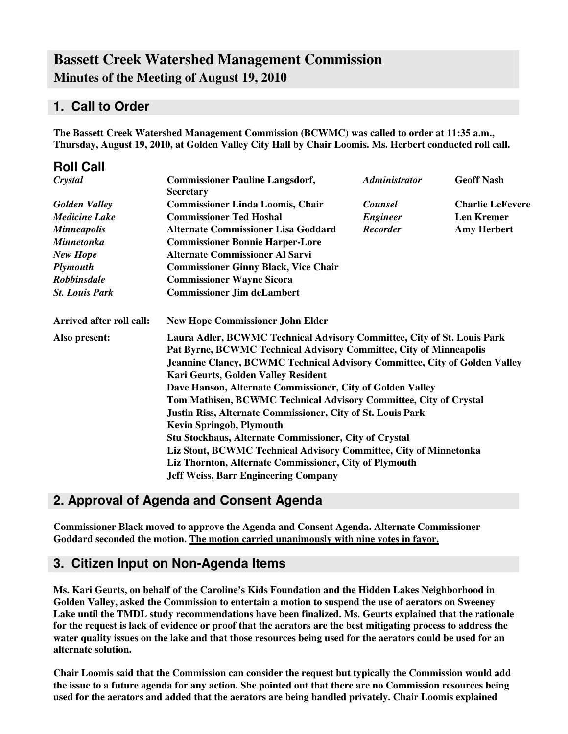# **Bassett Creek Watershed Management Commission Minutes of the Meeting of August 19, 2010**

## **1. Call to Order**

**The Bassett Creek Watershed Management Commission (BCWMC) was called to order at 11:35 a.m., Thursday, August 19, 2010, at Golden Valley City Hall by Chair Loomis. Ms. Herbert conducted roll call.**

| <b>Roll Call</b>         |                                                                                                                                                                                                                                                                                                                                                                                                                                                                                                                                                                                                                                                                                                                                                                      |                      |                         |
|--------------------------|----------------------------------------------------------------------------------------------------------------------------------------------------------------------------------------------------------------------------------------------------------------------------------------------------------------------------------------------------------------------------------------------------------------------------------------------------------------------------------------------------------------------------------------------------------------------------------------------------------------------------------------------------------------------------------------------------------------------------------------------------------------------|----------------------|-------------------------|
| Crystal                  | <b>Commissioner Pauline Langsdorf,</b><br><b>Secretary</b>                                                                                                                                                                                                                                                                                                                                                                                                                                                                                                                                                                                                                                                                                                           | <b>Administrator</b> | <b>Geoff Nash</b>       |
| <b>Golden Valley</b>     | <b>Commissioner Linda Loomis, Chair</b>                                                                                                                                                                                                                                                                                                                                                                                                                                                                                                                                                                                                                                                                                                                              | <b>Counsel</b>       | <b>Charlie LeFevere</b> |
| <b>Medicine Lake</b>     | <b>Commissioner Ted Hoshal</b>                                                                                                                                                                                                                                                                                                                                                                                                                                                                                                                                                                                                                                                                                                                                       | <b>Engineer</b>      | <b>Len Kremer</b>       |
| <b>Minneapolis</b>       | <b>Alternate Commissioner Lisa Goddard</b>                                                                                                                                                                                                                                                                                                                                                                                                                                                                                                                                                                                                                                                                                                                           | <b>Recorder</b>      | <b>Amy Herbert</b>      |
| <b>Minnetonka</b>        | <b>Commissioner Bonnie Harper-Lore</b>                                                                                                                                                                                                                                                                                                                                                                                                                                                                                                                                                                                                                                                                                                                               |                      |                         |
| <b>New Hope</b>          | <b>Alternate Commissioner Al Sarvi</b>                                                                                                                                                                                                                                                                                                                                                                                                                                                                                                                                                                                                                                                                                                                               |                      |                         |
| Plymouth                 | <b>Commissioner Ginny Black, Vice Chair</b>                                                                                                                                                                                                                                                                                                                                                                                                                                                                                                                                                                                                                                                                                                                          |                      |                         |
| <b>Robbinsdale</b>       | <b>Commissioner Wayne Sicora</b>                                                                                                                                                                                                                                                                                                                                                                                                                                                                                                                                                                                                                                                                                                                                     |                      |                         |
| <b>St. Louis Park</b>    | <b>Commissioner Jim deLambert</b>                                                                                                                                                                                                                                                                                                                                                                                                                                                                                                                                                                                                                                                                                                                                    |                      |                         |
| Arrived after roll call: | <b>New Hope Commissioner John Elder</b>                                                                                                                                                                                                                                                                                                                                                                                                                                                                                                                                                                                                                                                                                                                              |                      |                         |
| Also present:            | Laura Adler, BCWMC Technical Advisory Committee, City of St. Louis Park<br>Pat Byrne, BCWMC Technical Advisory Committee, City of Minneapolis<br><b>Jeannine Clancy, BCWMC Technical Advisory Committee, City of Golden Valley</b><br>Kari Geurts, Golden Valley Resident<br>Dave Hanson, Alternate Commissioner, City of Golden Valley<br>Tom Mathisen, BCWMC Technical Advisory Committee, City of Crystal<br><b>Justin Riss, Alternate Commissioner, City of St. Louis Park</b><br><b>Kevin Springob, Plymouth</b><br><b>Stu Stockhaus, Alternate Commissioner, City of Crystal</b><br>Liz Stout, BCWMC Technical Advisory Committee, City of Minnetonka<br>Liz Thornton, Alternate Commissioner, City of Plymouth<br><b>Jeff Weiss, Barr Engineering Company</b> |                      |                         |

# **2. Approval of Agenda and Consent Agenda**

**Commissioner Black moved to approve the Agenda and Consent Agenda. Alternate Commissioner Goddard seconded the motion. The motion carried unanimously with nine votes in favor.**

## **3. Citizen Input on Non-Agenda Items**

**Ms. Kari Geurts, on behalf of the Caroline's Kids Foundation and the Hidden Lakes Neighborhood in Golden Valley, asked the Commission to entertain a motion to suspend the use of aerators on Sweeney Lake until the TMDL study recommendations have been finalized. Ms. Geurts explained that the rationale** for the request is lack of evidence or proof that the aerators are the best mitigating process to address the water quality issues on the lake and that those resources being used for the aerators could be used for an **alternate solution.**

**Chair Loomis said that the Commission can consider the request but typically the Commission would add** the issue to a future agenda for any action. She pointed out that there are no Commission resources being **used for the aerators and added that the aerators are being handled privately. Chair Loomis explained**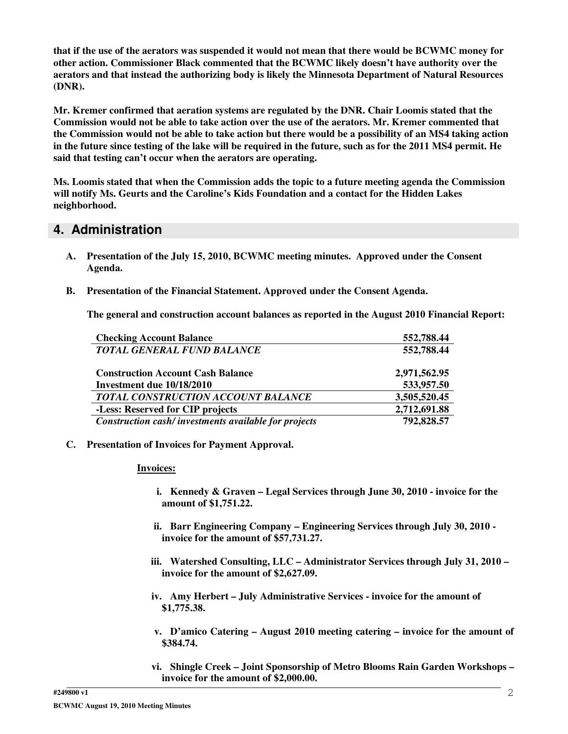that if the use of the aerators was suspended it would not mean that there would be BCWMC money for **other action. Commissioner Black commented that the BCWMC likely doesn't have authority over the aerators and that instead the authorizing body is likely the Minnesota Department of Natural Resources (DNR).**

**Mr. Kremer confirmed that aeration systems are regulated by the DNR. Chair Loomis stated that the** Commission would not be able to take action over the use of the aerators. Mr. Kremer commented that the Commission would not be able to take action but there would be a possibility of an MS4 taking action in the future since testing of the lake will be required in the future, such as for the 2011 MS4 permit. He **said that testing can't occur when the aerators are operating.**

**Ms. Loomis stated that when the Commission adds the topic to a future meeting agenda the Commission will notify Ms. Geurts and the Caroline's Kids Foundation and a contact for the Hidden Lakes neighborhood.**

### **4. Administration**

- **A. Presentation of the July 15, 2010, BCWMC meeting minutes. Approved under the Consent Agenda.**
- **B. Presentation of the Financial Statement. Approved under the Consent Agenda.**

**The general and construction account balances as reported in the August 2010 Financial Report:**

| <b>Checking Account Balance</b>                      | 552,788.44   |
|------------------------------------------------------|--------------|
| <b>TOTAL GENERAL FUND BALANCE</b>                    | 552,788.44   |
|                                                      |              |
| <b>Construction Account Cash Balance</b>             | 2,971,562.95 |
| Investment due 10/18/2010                            | 533,957.50   |
| TOTAL CONSTRUCTION ACCOUNT BALANCE                   | 3,505,520.45 |
| -Less: Reserved for CIP projects                     | 2,712,691.88 |
| Construction cash/investments available for projects | 792,828.57   |

**C. Presentation of Invoices for Payment Approval.**

#### **Invoices:**

- **i. Kennedy & Graven – Legal Services through June 30, 2010 - invoice for the amount of \$1,751.22.**
- **ii. Barr Engineering Company – Engineering Services through July 30, 2010 invoice for the amount of \$57,731.27.**
- **iii. Watershed Consulting, LLC – Administrator Services through July 31, 2010 – invoice for the amount of \$2,627.09.**
- **iv. Amy Herbert – July Administrative Services - invoice for the amount of \$1,775.38.**
- **v. D'amico Catering – August 2010 meeting catering – invoice for the amount of \$384.74.**
- **vi. Shingle Creek – Joint Sponsorship of Metro Blooms Rain Garden Workshops – invoice for the amount of \$2,000.00.**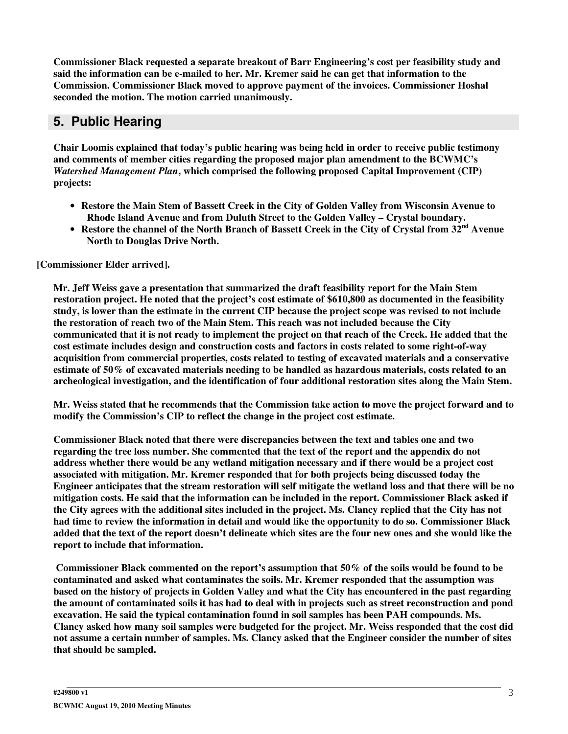**Commissioner Black requested a separate breakout of Barr Engineering's cost per feasibility study and said the information can be e-mailed to her. Mr. Kremer said he can get that information to the Commission. Commissioner Black moved to approve payment of the invoices. Commissioner Hoshal seconded the motion. The motion carried unanimously.**

# **5. Public Hearing**

**Chair Loomis explained that today's public hearing was being held in order to receive public testimony and comments of member cities regarding the proposed major plan amendment to the BCWMC's** *Watershed Management Plan***, which comprised the following proposed Capital Improvement (CIP) projects:**

- **Restore the Main Stem of Bassett Creek in the City of Golden Valley from Wisconsin Avenue to Rhode Island Avenue and from Duluth Street to the Golden Valley – Crystal boundary.**
- Restore the channel of the North Branch of Bassett Creek in the City of Crystal from 32<sup>nd</sup> Avenue **North to Douglas Drive North.**

**[Commissioner Elder arrived].**

**Mr. Jeff Weiss gave a presentation that summarized the draft feasibility report for the Main Stem restoration project. He noted that the project's cost estimate of \$610,800 as documented in the feasibility** study, is lower than the estimate in the current CIP because the project scope was revised to not include **the restoration of reach two of the Main Stem. This reach was not included because the City** communicated that it is not ready to implement the project on that reach of the Creek. He added that the **cost estimate includes design and construction costs and factors in costs related to some right-of-way acquisition from commercial properties, costs related to testing of excavated materials and a conservative estimate of 50% of excavated materials needing to be handled as hazardous materials, costs related to an archeological investigation, and the identification of four additional restoration sites along the Main Stem.**

Mr. Weiss stated that he recommends that the Commission take action to move the project forward and to **modify the Commission's CIP to reflect the change in the project cost estimate.**

**Commissioner Black noted that there were discrepancies between the text and tables one and two regarding the tree loss number. She commented that the text of the report and the appendix do not address whether there would be any wetland mitigation necessary and if there would be a project cost associated with mitigation. Mr. Kremer responded that for both projects being discussed today the** Engineer anticipates that the stream restoration will self mitigate the wetland loss and that there will be no **mitigation costs. He said that the information can be included in the report. Commissioner Black asked if** the City agrees with the additional sites included in the project. Ms. Clancy replied that the City has not had time to review the information in detail and would like the opportunity to do so. Commissioner Black added that the text of the report doesn't delineate which sites are the four new ones and she would like the **report to include that information.**

**Commissioner Black commented on the report's assumption that 50% of the soils would be found to be contaminated and asked what contaminates the soils. Mr. Kremer responded that the assumption was** based on the history of projects in Golden Valley and what the City has encountered in the past regarding the amount of contaminated soils it has had to deal with in projects such as street reconstruction and pond **excavation. He said the typical contamination found in soil samples has been PAH compounds. Ms.** Clancy asked how many soil samples were budgeted for the project. Mr. Weiss responded that the cost did not assume a certain number of samples. Ms. Clancy asked that the Engineer consider the number of sites **that should be sampled.**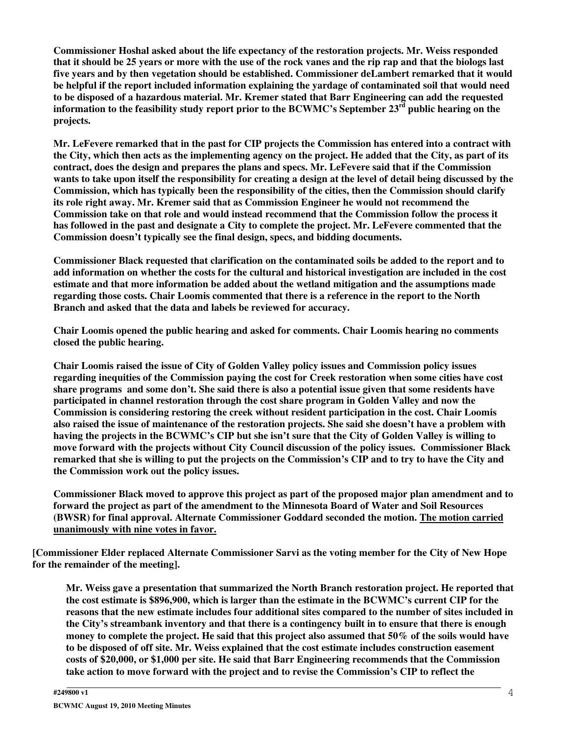**Commissioner Hoshal asked about the life expectancy of the restoration projects. Mr. Weiss responded** that it should be 25 years or more with the use of the rock vanes and the rip rap and that the biologs last **five years and by then vegetation should be established. Commissioner deLambert remarked that it would be helpful if the report included information explaining the yardage of contaminated soil that would need to be disposed of a hazardous material. Mr. Kremer stated that Barr Engineering can add the requested information to the feasibility study report prior to the BCWMC's September 23 rd public hearing on the projects.**

Mr. LeFevere remarked that in the past for CIP projects the Commission has entered into a contract with the City, which then acts as the implementing agency on the project. He added that the City, as part of its **contract, does the design and prepares the plans and specs. Mr. LeFevere said that if the Commission** wants to take upon itself the responsibility for creating a design at the level of detail being discussed by the **Commission, which has typically been the responsibility of the cities, then the Commission should clarify its role right away. Mr. Kremer said that as Commission Engineer he would not recommend the Commission take on that role and would instead recommend that the Commission follow the process it** has followed in the past and designate a City to complete the project. Mr. LeFevere commented that the **Commission doesn't typically see the final design, specs, and bidding documents.**

**Commissioner Black requested that clarification on the contaminated soils be added to the report and to** add information on whether the costs for the cultural and historical investigation are included in the cost **estimate and that more information be added about the wetland mitigation and the assumptions made regarding those costs. Chair Loomis commented that there is a reference in the report to the North Branch and asked that the data and labels be reviewed for accuracy.**

**Chair Loomis opened the public hearing and asked for comments. Chair Loomis hearing no comments closed the public hearing.**

**Chair Loomis raised the issue of City of Golden Valley policy issues and Commission policy issues regarding inequities of the Commission paying the cost for Creek restoration when some cities have cost** share programs and some don't. She said there is also a potential issue given that some residents have **participated in channel restoration through the cost share program in Golden Valley and now the Commission is considering restoring the creek without resident participation in the cost. Chair Loomis** also raised the issue of maintenance of the restoration projects. She said she doesn't have a problem with having the projects in the BCWMC's CIP but she isn't sure that the City of Golden Valley is willing to **move forward with the projects without City Council discussion of the policy issues. Commissioner Black** remarked that she is willing to put the projects on the Commission's CIP and to try to have the City and **the Commission work out the policy issues.**

**Commissioner Black moved to approve this project as part of the proposed major plan amendment and to forward the project as part of the amendment to the Minnesota Board of Water and Soil Resources (BWSR) for final approval. Alternate Commissioner Goddard seconded the motion. The motion carried unanimously with nine votes in favor.**

**[Commissioner Elder replaced Alternate Commissioner Sarvi as the voting member for the City of New Hope for the remainder of the meeting].**

**Mr. Weiss gave a presentation that summarized the North Branch restoration project. He reported that** the cost estimate is \$896,900, which is larger than the estimate in the BCWMC's current CIP for the **reasons that the new estimate includes four additional sites compared to the number of sites included in** the City's streambank inventory and that there is a contingency built in to ensure that there is enough money to complete the project. He said that this project also assumed that 50% of the soils would have **to be disposed of off site. Mr. Weiss explained that the cost estimate includes construction easement costs of \$20,000, or \$1,000 per site. He said that Barr Engineering recommends that the Commission take action to move forward with the project and to revise the Commission's CIP to reflect the**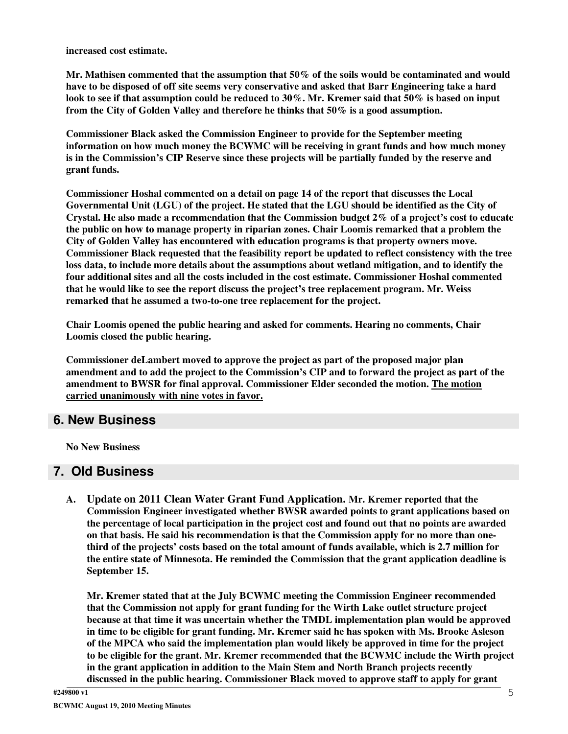**increased cost estimate.**

**Mr. Mathisen commented that the assumption that 50% of the soils would be contaminated and would** have to be disposed of off site seems very conservative and asked that Barr Engineering take a hard look to see if that assumption could be reduced to  $30\%$ . Mr. Kremer said that  $50\%$  is based on input **from the City of Golden Valley and therefore he thinks that 50% is a good assumption.**

**Commissioner Black asked the Commission Engineer to provide for the September meeting information on how much money the BCWMC will be receiving in grant funds and how much money is in the Commission's CIP Reserve since these projects will be partially funded by the reserve and grant funds.**

**Commissioner Hoshal commented on a detail on page 14 of the report that discusses the Local Governmental Unit (LGU) of the project. He stated that the LGU should be identified as the City of Crystal. He also made a recommendation that the Commission budget 2% of a project's cost to educate the public on how to manage property in riparian zones. Chair Loomis remarked that a problem the City of Golden Valley has encountered with education programs is that property owners move. Commissioner Black requested that the feasibility report be updated to reflect consistency with the tree loss data, to include more details about the assumptions about wetland mitigation, and to identify the four additional sites and all the costs included in the cost estimate. Commissioner Hoshal commented that he would like to see the report discuss the project's tree replacement program. Mr. Weiss remarked that he assumed a two-to-one tree replacement for the project.**

**Chair Loomis opened the public hearing and asked for comments. Hearing no comments, Chair Loomis closed the public hearing.**

**Commissioner deLambert moved to approve the project as part of the proposed major plan** amendment and to add the project to the Commission's CIP and to forward the project as part of the **amendment to BWSR for final approval. Commissioner Elder seconded the motion. The motion carried unanimously with nine votes in favor.**

## **6. New Business**

**No New Business**

### **7. Old Business**

**A. Update on 2011 Clean Water Grant Fund Application. Mr. Kremer reported that the Commission Engineer investigated whether BWSR awarded points to grant applications based on the percentage of local participation in the project cost and found out that no points are awarded on that basis. He said his recommendation is that the Commission apply for no more than one**third of the projects' costs based on the total amount of funds available, which is 2.7 million for **the entire state of Minnesota. He reminded the Commission that the grant application deadline is September 15.**

**Mr. Kremer stated that at the July BCWMC meeting the Commission Engineer recommended that the Commission not apply for grant funding for the Wirth Lake outlet structure project because at that time it was uncertain whether the TMDL implementation plan would be approved in time to be eligible for grant funding. Mr. Kremer said he has spoken with Ms. Brooke Asleson of the MPCA who said the implementation plan would likely be approved in time for the project to be eligible for the grant. Mr. Kremer recommended that the BCWMC include the Wirth project in the grant application in addition to the Main Stem and North Branch projects recently discussed in the public hearing. Commissioner Black moved to approve staff to apply for grant**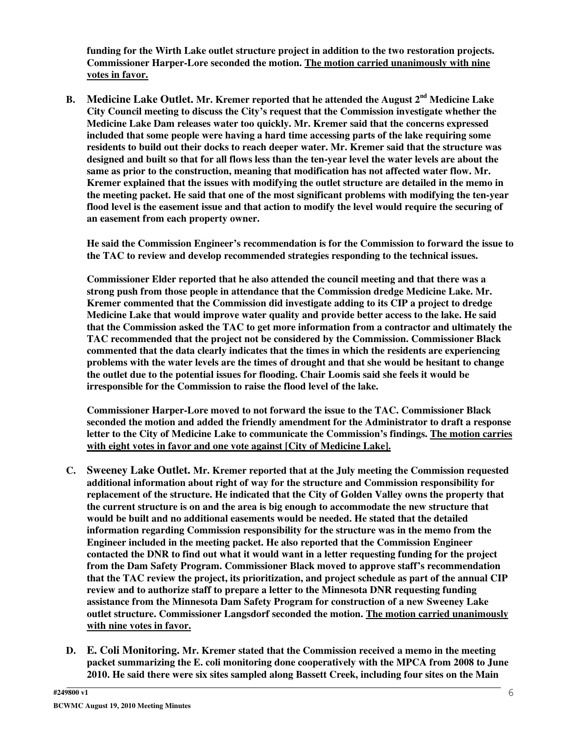**funding for the Wirth Lake outlet structure project in addition to the two restoration projects. Commissioner Harper-Lore seconded the motion. The motion carried unanimously with nine votes in favor.**

**B. Medicine Lake Outlet. Mr. Kremer reported that he attended the August 2 nd Medicine Lake City Council meeting to discuss the City's request that the Commission investigate whether the Medicine Lake Dam releases water too quickly. Mr. Kremer said that the concerns expressed included that some people were having a hard time accessing parts of the lake requiring some residents to build out their docks to reach deeper water. Mr. Kremer said that the structure was** designed and built so that for all flows less than the ten-year level the water levels are about the **same as prior to the construction, meaning that modification has not affected water flow. Mr. Kremer explained that the issues with modifying the outlet structure are detailed in the memo in the meeting packet. He said that one of the most significant problems with modifying the ten-year** flood level is the easement issue and that action to modify the level would require the securing of **an easement from each property owner.**

**He said the Commission Engineer's recommendation is for the Commission to forward the issue to the TAC to review and develop recommended strategies responding to the technical issues.**

**Commissioner Elder reported that he also attended the council meeting and that there was a strong push from those people in attendance that the Commission dredge Medicine Lake. Mr. Kremer commented that the Commission did investigate adding to its CIP a project to dredge Medicine Lake that would improve water quality and provide better access to the lake. He said that the Commission asked the TAC to get more information from a contractor and ultimately the TAC recommended that the project not be considered by the Commission. Commissioner Black commented that the data clearly indicates that the times in which the residents are experiencing problems with the water levels are the times of drought and that she would be hesitant to change the outlet due to the potential issues for flooding. Chair Loomis said she feels it would be irresponsible for the Commission to raise the flood level of the lake.**

**Commissioner Harper-Lore moved to not forward the issue to the TAC. Commissioner Black seconded the motion and added the friendly amendment for the Administrator to draft a response letter to the City of Medicine Lake to communicate the Commission's findings. The motion carries with eight votes in favor and one vote against [City of Medicine Lake].**

- **C. Sweeney Lake Outlet. Mr. Kremer reported that at the July meeting the Commission requested additional information about right of way for the structure and Commission responsibility for replacement of the structure. He indicated that the City of Golden Valley owns the property that the current structure is on and the area is big enough to accommodate the new structure that would be built and no additional easements would be needed. He stated that the detailed information regarding Commission responsibility for the structure was in the memo from the Engineer included in the meeting packet. He also reported that the Commission Engineer contacted the DNR to find out what it would want in a letter requesting funding for the project from the Dam Safety Program. Commissioner Black moved to approve staff's recommendation that the TAC review the project, its prioritization, and project schedule as part of the annual CIP review and to authorize staff to prepare a letter to the Minnesota DNR requesting funding assistance from the Minnesota Dam Safety Program for construction of a new Sweeney Lake outlet structure. Commissioner Langsdorf seconded the motion. The motion carried unanimously with nine votes in favor.**
- **D. E. Coli Monitoring. Mr. Kremer stated that the Commission received a memo in the meeting packet summarizing the E. coli monitoring done cooperatively with the MPCA from 2008 to June 2010. He said there were six sites sampled along Bassett Creek, including four sites on the Main**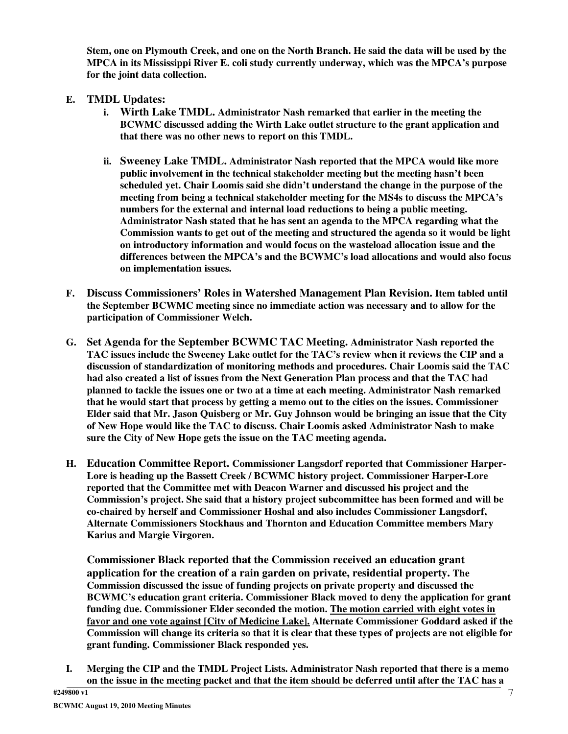Stem, one on Plymouth Creek, and one on the North Branch. He said the data will be used by the **MPCA in its Mississippi River E. coli study currently underway, which was the MPCA's purpose for the joint data collection.**

- **E. TMDL Updates:**
	- **i. Wirth Lake TMDL. Administrator Nash remarked that earlier in the meeting the BCWMC discussed adding the Wirth Lake outlet structure to the grant application and that there was no other news to report on this TMDL.**
	- **ii. Sweeney Lake TMDL. Administrator Nash reported that the MPCA would like more public involvement in the technical stakeholder meeting but the meeting hasn't been scheduled yet. Chair Loomis said she didn't understand the change in the purpose of the meeting from being a technical stakeholder meeting for the MS4s to discuss the MPCA's numbers for the external and internal load reductions to being a public meeting. Administrator Nash stated that he has sent an agenda to the MPCA regarding what the Commission wants to get out of the meeting and structured the agenda so it would be light on introductory information and would focus on the wasteload allocation issue and the differences between the MPCA's and the BCWMC's load allocations and would also focus on implementation issues.**
- **F. Discuss Commissioners' Roles in Watershed Management Plan Revision. Item tabled until the September BCWMC meeting since no immediate action was necessary and to allow for the participation of Commissioner Welch.**
- **G. Set Agenda for the September BCWMC TAC Meeting. Administrator Nash reported the TAC issues include the Sweeney Lake outlet for the TAC's review when it reviews the CIP and a discussion of standardization of monitoring methods and procedures. Chair Loomis said the TAC had also created a list of issues from the Next Generation Plan process and that the TAC had planned to tackle the issues one or two at a time at each meeting. Administrator Nash remarked that he would start that process by getting a memo out to the cities on the issues. Commissioner Elder said that Mr. Jason Quisberg or Mr. Guy Johnson would be bringing an issue that the City of New Hope would like the TAC to discuss. Chair Loomis asked Administrator Nash to make sure the City of New Hope gets the issue on the TAC meeting agenda.**
- **H. Education Committee Report. Commissioner Langsdorf reported that Commissioner Harper-Lore is heading up the Bassett Creek / BCWMC history project. Commissioner Harper-Lore reported that the Committee met with Deacon Warner and discussed his project and the Commission's project. She said that a history project subcommittee has been formed and will be co-chaired by herself and Commissioner Hoshal and also includes Commissioner Langsdorf, Alternate Commissioners Stockhaus and Thornton and Education Committee members Mary Karius and Margie Virgoren.**

**Commissioner Black reported that the Commission received an education grant application for the creation of a rain garden on private, residential property. The Commission discussed the issue of funding projects on private property and discussed the BCWMC's education grant criteria. Commissioner Black moved to deny the application for grant funding due. Commissioner Elder seconded the motion. The motion carried with eight votes in favor and one vote against [City of Medicine Lake]. Alternate Commissioner Goddard asked if the** Commission will change its criteria so that it is clear that these types of projects are not eligible for **grant funding. Commissioner Black responded yes.**

**I. Merging the CIP and the TMDL Project Lists. Administrator Nash reported that there is a memo** on the issue in the meeting packet and that the item should be deferred until after the TAC has a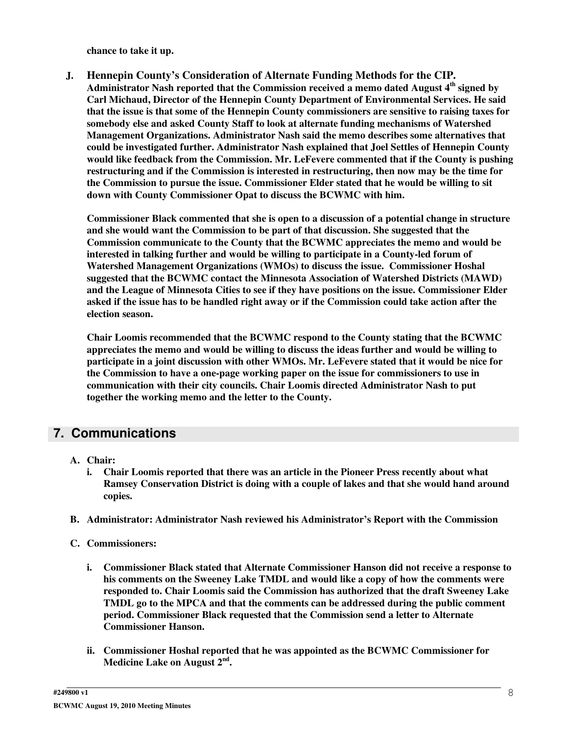**chance to take it up.**

- **J. Hennepin County's Consideration of Alternate Funding Methods for the CIP.**
	- **Administrator Nash reported that the Commission received a memo dated August 4 th signed by Carl Michaud, Director of the Hennepin County Department of Environmental Services. He said that the issue is that some of the Hennepin County commissioners are sensitive to raising taxes for somebody else and asked County Staff to look at alternate funding mechanisms of Watershed Management Organizations. Administrator Nash said the memo describes some alternatives that could be investigated further. Administrator Nash explained that Joel Settles of Hennepin County would like feedback from the Commission. Mr. LeFevere commented that if the County is pushing restructuring and if the Commission is interested in restructuring, then now may be the time for the Commission to pursue the issue. Commissioner Elder stated that he would be willing to sit down with County Commissioner Opat to discuss the BCWMC with him.**

**Commissioner Black commented that she is open to a discussion of a potential change in structure and she would want the Commission to be part of that discussion. She suggested that the Commission communicate to the County that the BCWMC appreciates the memo and would be interested in talking further and would be willing to participate in a County-led forum of Watershed Management Organizations (WMOs) to discuss the issue. Commissioner Hoshal suggested that the BCWMC contact the Minnesota Association of Watershed Districts (MAWD) and the League of Minnesota Cities to see if they have positions on the issue. Commissioner Elder** asked if the issue has to be handled right away or if the Commission could take action after the **election season.**

**Chair Loomis recommended that the BCWMC respond to the County stating that the BCWMC appreciates the memo and would be willing to discuss the ideas further and would be willing to participate in a joint discussion with other WMOs. Mr. LeFevere stated that it would be nice for the Commission to have a one-page working paper on the issue for commissioners to use in communication with their city councils. Chair Loomis directed Administrator Nash to put together the working memo and the letter to the County.**

## **7. Communications**

- **A. Chair:**
	- **i. Chair Loomis reported that there was an article in the Pioneer Press recently about what Ramsey Conservation District is doing with a couple of lakes and that she would hand around copies.**
- **B. Administrator: Administrator Nash reviewed his Administrator's Report with the Commission**
- **C. Commissioners:**
	- **i. Commissioner Black stated that Alternate Commissioner Hanson did not receive a response to his comments on the Sweeney Lake TMDL and would like a copy of how the comments were responded to. Chair Loomis said the Commission has authorized that the draft Sweeney Lake TMDL go to the MPCA and that the comments can be addressed during the public comment period. Commissioner Black requested that the Commission send a letter to Alternate Commissioner Hanson.**
	- **ii. Commissioner Hoshal reported that he was appointed as the BCWMC Commissioner for Medicine Lake on August 2 nd .**